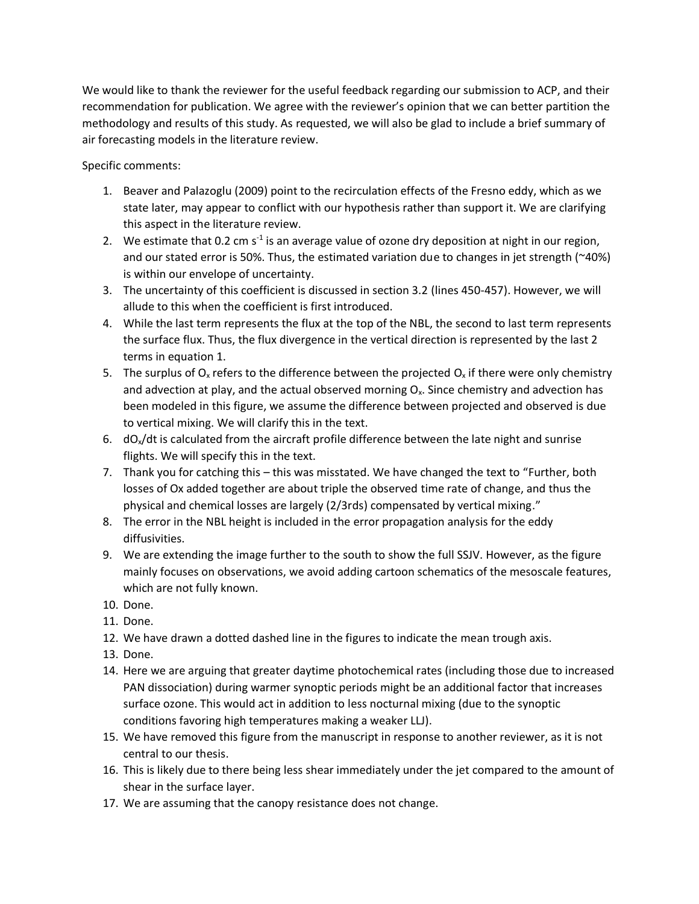We would like to thank the reviewer for the useful feedback regarding our submission to ACP, and their recommendation for publication. We agree with the reviewer's opinion that we can better partition the methodology and results of this study. As requested, we will also be glad to include a brief summary of air forecasting models in the literature review.

Specific comments:

- 1. Beaver and Palazoglu (2009) point to the recirculation effects of the Fresno eddy, which as we state later, may appear to conflict with our hypothesis rather than support it. We are clarifying this aspect in the literature review.
- 2. We estimate that 0.2 cm  $s<sup>-1</sup>$  is an average value of ozone dry deposition at night in our region, and our stated error is 50%. Thus, the estimated variation due to changes in jet strength (~40%) is within our envelope of uncertainty.
- 3. The uncertainty of this coefficient is discussed in section 3.2 (lines 450-457). However, we will allude to this when the coefficient is first introduced.
- 4. While the last term represents the flux at the top of the NBL, the second to last term represents the surface flux. Thus, the flux divergence in the vertical direction is represented by the last 2 terms in equation 1.
- 5. The surplus of  $O_x$  refers to the difference between the projected  $O_x$  if there were only chemistry and advection at play, and the actual observed morning  $O<sub>x</sub>$ . Since chemistry and advection has been modeled in this figure, we assume the difference between projected and observed is due to vertical mixing. We will clarify this in the text.
- 6.  $dO<sub>x</sub>/dt$  is calculated from the aircraft profile difference between the late night and sunrise flights. We will specify this in the text.
- 7. Thank you for catching this this was misstated. We have changed the text to "Further, both losses of Ox added together are about triple the observed time rate of change, and thus the physical and chemical losses are largely (2/3rds) compensated by vertical mixing."
- 8. The error in the NBL height is included in the error propagation analysis for the eddy diffusivities.
- 9. We are extending the image further to the south to show the full SSJV. However, as the figure mainly focuses on observations, we avoid adding cartoon schematics of the mesoscale features, which are not fully known.
- 10. Done.
- 11. Done.
- 12. We have drawn a dotted dashed line in the figures to indicate the mean trough axis.
- 13. Done.
- 14. Here we are arguing that greater daytime photochemical rates (including those due to increased PAN dissociation) during warmer synoptic periods might be an additional factor that increases surface ozone. This would act in addition to less nocturnal mixing (due to the synoptic conditions favoring high temperatures making a weaker LLJ).
- 15. We have removed this figure from the manuscript in response to another reviewer, as it is not central to our thesis.
- 16. This is likely due to there being less shear immediately under the jet compared to the amount of shear in the surface layer.
- 17. We are assuming that the canopy resistance does not change.